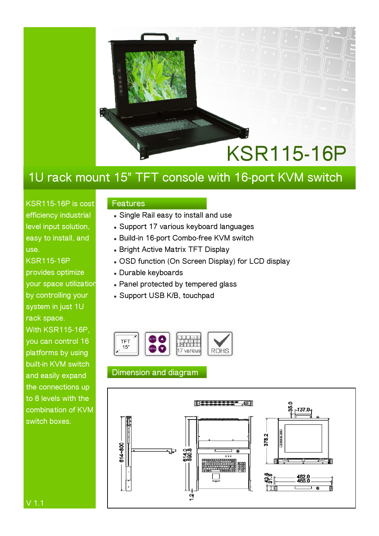

## **1U rack mount 15" TFT console with 16-port KVM switch**

**KSR115-16P is cost efficiency industrial level input solution, easy to install, and use.** 

**KSR115-16P provides optimize your space utilization by controlling your system in just 1U rack space. With KSR115-16P, you can control 16 platforms by using built-in KVM switch and easily expand the connections up to 8 levels with the combination of KVM switch boxes.** 

#### **Features**

- $\bullet$  Single Rail easy to install and use
- **Support 17 various keyboard languages**
- <sup>z</sup> **Build-in 16-port Combo-free KVM switch**
- **Bright Active Matrix TFT Display**
- **. OSD function (On Screen Display) for LCD display**
- <sup>z</sup> **Durable keyboards**
- **Panel protected by tempered glass**
- <sup>z</sup> **Support USB K/B, touchpad**



### **Dimension and diagram**